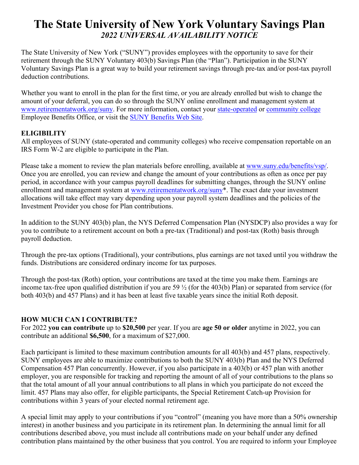# **The State University of New York Voluntary Savings Plan** *2022 UNIVERSAL AVAILABILITY NOTICE*

The State University of New York ("SUNY") provides employees with the opportunity to save for their retirement through the SUNY Voluntary 403(b) Savings Plan (the "Plan"). Participation in the SUNY Voluntary Savings Plan is a great way to build your retirement savings through pre-tax and/or post-tax payroll deduction contributions.

Whether you want to enroll in the plan for the first time, or you are already enrolled but wish to change the amount of your deferral, you can do so through the SUNY online enrollment and management system at [www.retirementatwork.org/suny.](http://www.retirementatwork.org/suny) For more information, contact your [state-operated](http://www.suny.edu/benefits/contacts/) or [community college](http://www.suny.edu/benefits/contacts/) Employee Benefits Office, or visit the [SUNY Benefits Web Site.](http://www.suny.edu/benefits/vsp/)

# **ELIGIBILITY**

All employees of SUNY (state-operated and community colleges) who receive compensation reportable on an IRS Form W-2 are eligible to participate in the Plan.

Please take a moment to review the plan materials before enrolling, available at [www.suny.edu/benefits/vsp/.](http://www.suny.edu/benefits/vsp/) Once you are enrolled, you can review and change the amount of your contributions as often as once per pay period, in accordance with your campus payroll deadlines for submitting changes, through the SUNY online enrollment and management system at www.retirementatwork.org/suny<sup>\*</sup>. The exact date your investment allocations will take effect may vary depending upon your payroll system deadlines and the policies of the Investment Provider you chose for Plan contributions.

In addition to the SUNY 403(b) plan, the NYS Deferred Compensation Plan (NYSDCP) also provides a way for you to contribute to a retirement account on both a pre-tax (Traditional) and post-tax (Roth) basis through payroll deduction.

Through the pre-tax options (Traditional), your contributions, plus earnings are not taxed until you withdraw the funds. Distributions are considered ordinary income for tax purposes.

Through the post-tax (Roth) option, your contributions are taxed at the time you make them. Earnings are income tax-free upon qualified distribution if you are 59 ½ (for the 403(b) Plan) or separated from service (for both 403(b) and 457 Plans) and it has been at least five taxable years since the initial Roth deposit.

# **HOW MUCH CAN I CONTRIBUTE?**

For 2022 **you can contribute** up to **\$20,500** per year. If you are **age 50 or older** anytime in 2022, you can contribute an additional **\$6,500**, for a maximum of \$27,000.

Each participant is limited to these maximum contribution amounts for all 403(b) and 457 plans, respectively. SUNY employees are able to maximize contributions to both the SUNY 403(b) Plan and the NYS Deferred Compensation 457 Plan concurrently. However, if you also participate in a 403(b) or 457 plan with another employer, you are responsible for tracking and reporting the amount of all of your contributions to the plans so that the total amount of all your annual contributions to all plans in which you participate do not exceed the limit. 457 Plans may also offer, for eligible participants, the Special Retirement Catch-up Provision for contributions within 3 years of your elected normal retirement age.

A special limit may apply to your contributions if you "control" (meaning you have more than a 50% ownership interest) in another business and you participate in its retirement plan. In determining the annual limit for all contributions described above, you must include all contributions made on your behalf under any defined contribution plans maintained by the other business that you control. You are required to inform your Employee